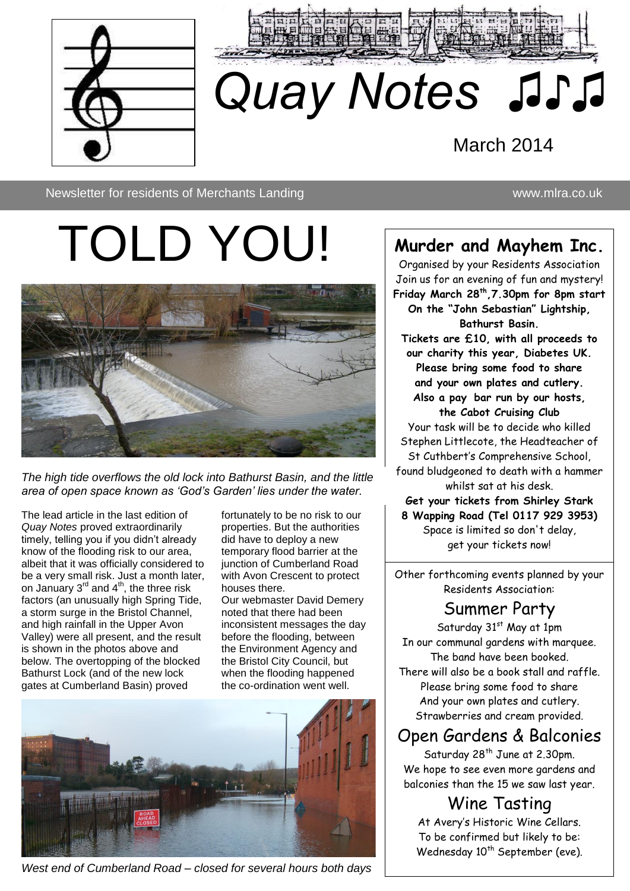



# *Quay Notes ♫♪♫* March 2014

Newsletter for residents of Merchants Landing www.mlra.co.uk

# TOLD YOU!

♫♫



*The high tide overflows the old lock into Bathurst Basin, and the little area of open space known as 'God's Garden' lies under the water.*

The lead article in the last edition of *Quay Notes* proved extraordinarily timely, telling you if you didn't already know of the flooding risk to our area, albeit that it was officially considered to be a very small risk. Just a month later, on January  $3<sup>rd</sup>$  and  $4<sup>th</sup>$ , the three risk factors (an unusually high Spring Tide, a storm surge in the Bristol Channel, and high rainfall in the Upper Avon Valley) were all present, and the result is shown in the photos above and below. The overtopping of the blocked Bathurst Lock (and of the new lock gates at Cumberland Basin) proved

fortunately to be no risk to our properties. But the authorities did have to deploy a new temporary flood barrier at the junction of Cumberland Road with Avon Crescent to protect houses there.

Our webmaster David Demery noted that there had been inconsistent messages the day before the flooding, between the Environment Agency and the Bristol City Council, but when the flooding happened the co-ordination went well.



*West end of Cumberland Road – closed for several hours both days*

### **Murder and Mayhem Inc.**

Organised by your Residents Association Join us for an evening of fun and mystery! **Friday March 28th,7.30pm for 8pm start On the "John Sebastian" Lightship, Bathurst Basin. Tickets are £10, with all proceeds to our charity this year, Diabetes UK. Please bring some food to share and your own plates and cutlery. Also a pay bar run by our hosts, the Cabot Cruising Club** Your task will be to decide who killed Stephen Littlecote, the Headteacher of St Cuthbert's Comprehensive School, found bludgeoned to death with a hammer whilst sat at his desk. **Get your tickets from Shirley Stark 8 Wapping Road (Tel 0117 929 3953)** Space is limited so don't delay,

get your tickets now!

Other forthcoming events planned by your Residents Association:

### Summer Party

Saturday 31<sup>st</sup> May at 1pm In our communal gardens with marquee. The band have been booked. There will also be a book stall and raffle. Please bring some food to share And your own plates and cutlery. Strawberries and cream provided.

### Open Gardens & Balconies

Saturday 28<sup>th</sup> June at 2.30pm. We hope to see even more gardens and balconies than the 15 we saw last year.

Wine Tasting At Avery's Historic Wine Cellars. To be confirmed but likely to be: Wednesday 10<sup>th</sup> September (eve).